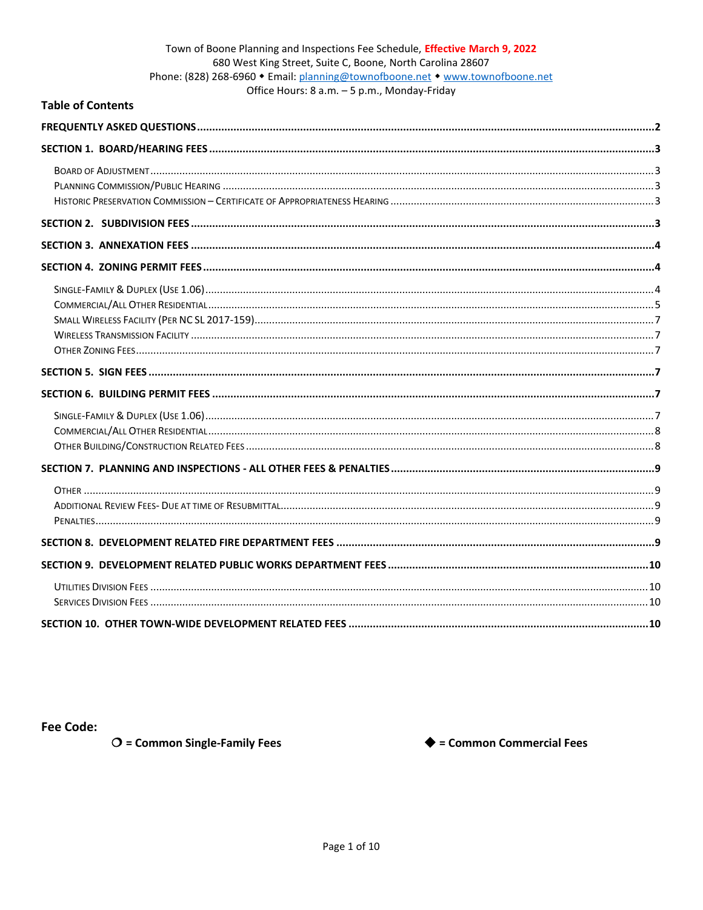# Town of Boone Planning and Inspections Fee Schedule, Effective March 9, 2022 680 West King Street, Suite C, Boone, North Carolina 28607 Phone: (828) 268-6960 • Email: planning@townofboone.net • www.townofboone.net

Office Hours: 8 a.m. - 5 p.m., Monday-Friday

### **Table of Contents**

**Fee Code:** 

 $O$  = Common Single-Family Fees

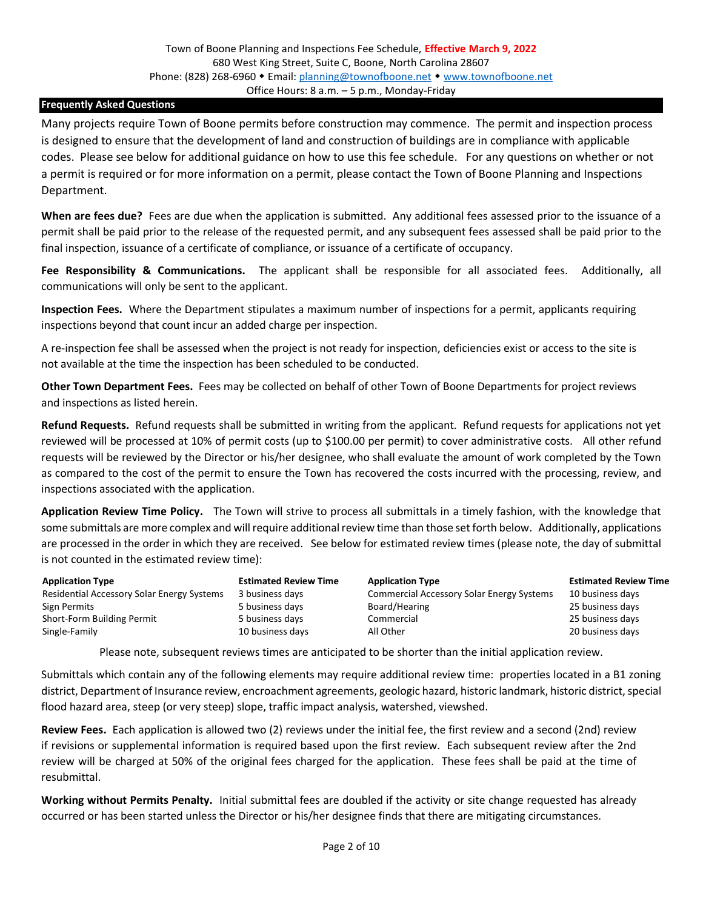#### <span id="page-1-0"></span>**Frequently Asked Questions**

Many projects require Town of Boone permits before construction may commence. The permit and inspection process is designed to ensure that the development of land and construction of buildings are in compliance with applicable codes. Please see below for additional guidance on how to use this fee schedule. For any questions on whether or not a permit is required or for more information on a permit, please contact the Town of Boone Planning and Inspections Department.

**When are fees due?** Fees are due when the application is submitted. Any additional fees assessed prior to the issuance of a permit shall be paid prior to the release of the requested permit, and any subsequent fees assessed shall be paid prior to the final inspection, issuance of a certificate of compliance, or issuance of a certificate of occupancy.

**Fee Responsibility & Communications.** The applicant shall be responsible for all associated fees. Additionally, all communications will only be sent to the applicant.

**Inspection Fees.** Where the Department stipulates a maximum number of inspections for a permit, applicants requiring inspections beyond that count incur an added charge per inspection.

A re-inspection fee shall be assessed when the project is not ready for inspection, deficiencies exist or access to the site is not available at the time the inspection has been scheduled to be conducted.

**Other Town Department Fees.** Fees may be collected on behalf of other Town of Boone Departments for project reviews and inspections as listed herein.

**Refund Requests.** Refund requests shall be submitted in writing from the applicant. Refund requests for applications not yet reviewed will be processed at 10% of permit costs (up to \$100.00 per permit) to cover administrative costs. All other refund requests will be reviewed by the Director or his/her designee, who shall evaluate the amount of work completed by the Town as compared to the cost of the permit to ensure the Town has recovered the costs incurred with the processing, review, and inspections associated with the application.

**Application Review Time Policy.** The Town will strive to process all submittals in a timely fashion, with the knowledge that some submittals are more complex and will require additional review time than those set forth below. Additionally, applications are processed in the order in which they are received. See below for estimated review times (please note, the day of submittal is not counted in the estimated review time):

| <b>Application Type</b>                    | <b>Estimated Review Time</b> | <b>Application Type</b>                          | <b>Estimated Review Time</b> |
|--------------------------------------------|------------------------------|--------------------------------------------------|------------------------------|
| Residential Accessory Solar Energy Systems | 3 business days              | <b>Commercial Accessory Solar Energy Systems</b> | 10 business days             |
| Sign Permits                               | 5 business days              | Board/Hearing                                    | 25 business days             |
| Short-Form Building Permit                 | 5 business days              | Commercial                                       | 25 business days             |
| Single-Family                              | 10 business days             | All Other                                        | 20 business days             |

Please note, subsequent reviews times are anticipated to be shorter than the initial application review.

Submittals which contain any of the following elements may require additional review time: properties located in a B1 zoning district, Department of Insurance review, encroachment agreements, geologic hazard, historic landmark, historic district, special flood hazard area, steep (or very steep) slope, traffic impact analysis, watershed, viewshed.

**Review Fees.** Each application is allowed two (2) reviews under the initial fee, the first review and a second (2nd) review if revisions or supplemental information is required based upon the first review. Each subsequent review after the 2nd review will be charged at 50% of the original fees charged for the application. These fees shall be paid at the time of resubmittal.

**Working without Permits Penalty.** Initial submittal fees are doubled if the activity or site change requested has already occurred or has been started unless the Director or his/her designee finds that there are mitigating circumstances.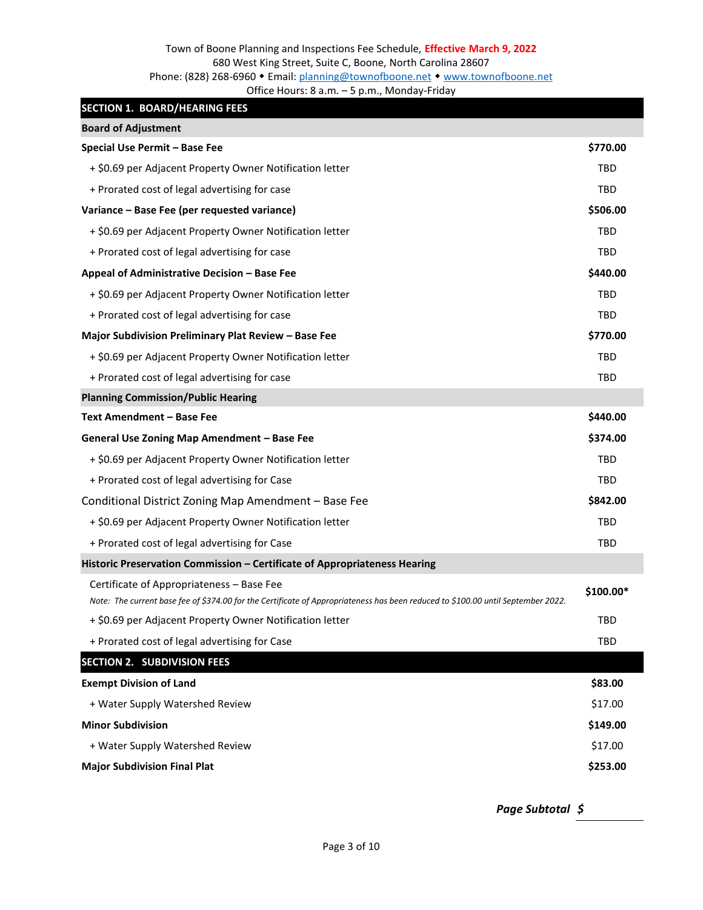### <span id="page-2-0"></span>**SECTION 1. BOARD/HEARING FEES**

<span id="page-2-4"></span><span id="page-2-3"></span><span id="page-2-2"></span><span id="page-2-1"></span>

| <b>Board of Adjustment</b>                                                                                                                                                    |            |
|-------------------------------------------------------------------------------------------------------------------------------------------------------------------------------|------------|
| Special Use Permit - Base Fee                                                                                                                                                 | \$770.00   |
| + \$0.69 per Adjacent Property Owner Notification letter                                                                                                                      | TBD        |
| + Prorated cost of legal advertising for case                                                                                                                                 | <b>TBD</b> |
| Variance - Base Fee (per requested variance)                                                                                                                                  | \$506.00   |
| + \$0.69 per Adjacent Property Owner Notification letter                                                                                                                      | <b>TBD</b> |
| + Prorated cost of legal advertising for case                                                                                                                                 | <b>TBD</b> |
| Appeal of Administrative Decision - Base Fee                                                                                                                                  | \$440.00   |
| + \$0.69 per Adjacent Property Owner Notification letter                                                                                                                      | <b>TBD</b> |
| + Prorated cost of legal advertising for case                                                                                                                                 | <b>TBD</b> |
| Major Subdivision Preliminary Plat Review - Base Fee                                                                                                                          | \$770.00   |
| + \$0.69 per Adjacent Property Owner Notification letter                                                                                                                      | TBD        |
| + Prorated cost of legal advertising for case                                                                                                                                 | <b>TBD</b> |
| <b>Planning Commission/Public Hearing</b>                                                                                                                                     |            |
| <b>Text Amendment - Base Fee</b>                                                                                                                                              | \$440.00   |
| General Use Zoning Map Amendment - Base Fee                                                                                                                                   | \$374.00   |
| + \$0.69 per Adjacent Property Owner Notification letter                                                                                                                      | <b>TBD</b> |
| + Prorated cost of legal advertising for Case                                                                                                                                 | <b>TBD</b> |
| Conditional District Zoning Map Amendment - Base Fee                                                                                                                          | \$842.00   |
| + \$0.69 per Adjacent Property Owner Notification letter                                                                                                                      | TBD        |
| + Prorated cost of legal advertising for Case                                                                                                                                 | <b>TBD</b> |
| Historic Preservation Commission - Certificate of Appropriateness Hearing                                                                                                     |            |
| Certificate of Appropriateness - Base Fee<br>Note: The current base fee of \$374.00 for the Certificate of Appropriateness has been reduced to \$100.00 until September 2022. | \$100.00*  |
| + \$0.69 per Adjacent Property Owner Notification letter                                                                                                                      | <b>TBD</b> |
| + Prorated cost of legal advertising for Case                                                                                                                                 | <b>TBD</b> |
| <b>SECTION 2. SUBDIVISION FEES</b>                                                                                                                                            |            |
| <b>Exempt Division of Land</b>                                                                                                                                                | \$83.00    |
| + Water Supply Watershed Review                                                                                                                                               | \$17.00    |
| <b>Minor Subdivision</b>                                                                                                                                                      | \$149.00   |
| + Water Supply Watershed Review                                                                                                                                               | \$17.00    |
| <b>Major Subdivision Final Plat</b>                                                                                                                                           | \$253.00   |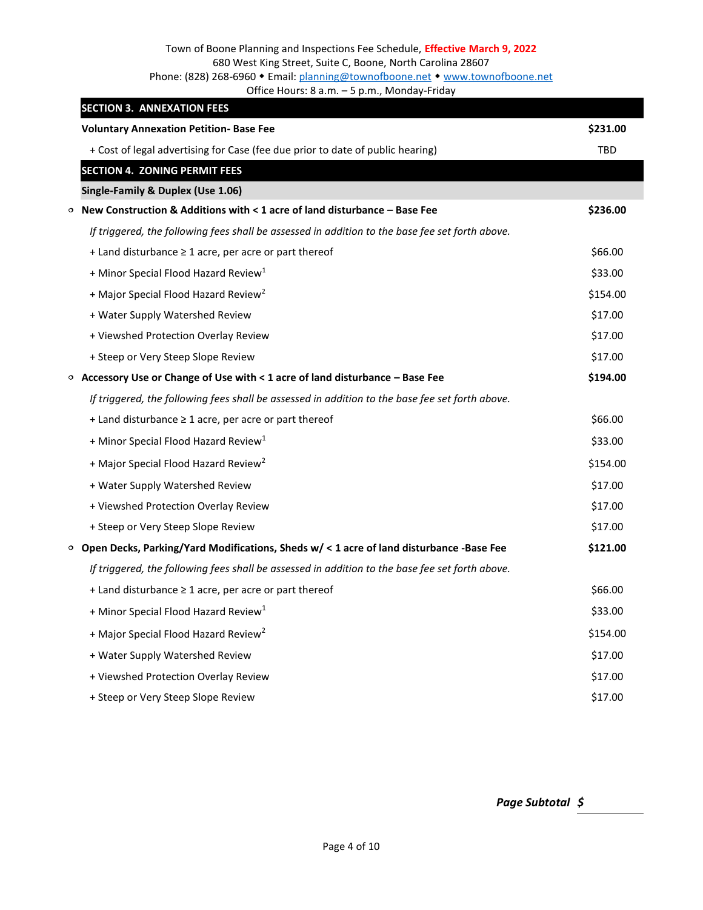### Town of Boone Planning and Inspections Fee Schedule, **Effective March 9, 2022** 680 West King Street, Suite C, Boone, North Carolina 28607 Phone: (828) 268-6960 • Email[: planning@townofboone.net](mailto:planning@townofboone.net) • [www.townofboone.net](http://www.townofboone.net/)

<span id="page-3-4"></span><span id="page-3-3"></span>Office Hours: 8 a.m. – 5 p.m., Monday-Friday

<span id="page-3-2"></span><span id="page-3-1"></span><span id="page-3-0"></span>

|         | <b>SECTION 3. ANNEXATION FEES</b>                                                               |            |
|---------|-------------------------------------------------------------------------------------------------|------------|
|         | <b>Voluntary Annexation Petition- Base Fee</b>                                                  | \$231.00   |
|         | + Cost of legal advertising for Case (fee due prior to date of public hearing)                  | <b>TBD</b> |
|         | <b>SECTION 4. ZONING PERMIT FEES</b>                                                            |            |
|         | Single-Family & Duplex (Use 1.06)                                                               |            |
| $\circ$ | New Construction & Additions with $< 1$ acre of land disturbance – Base Fee                     | \$236.00   |
|         | If triggered, the following fees shall be assessed in addition to the base fee set forth above. |            |
|         | $+$ Land disturbance $\geq 1$ acre, per acre or part thereof                                    | \$66.00    |
|         | + Minor Special Flood Hazard Review <sup>1</sup>                                                | \$33.00    |
|         | + Major Special Flood Hazard Review <sup>2</sup>                                                | \$154.00   |
|         | + Water Supply Watershed Review                                                                 | \$17.00    |
|         | + Viewshed Protection Overlay Review                                                            | \$17.00    |
|         | + Steep or Very Steep Slope Review                                                              | \$17.00    |
|         | $\circ$ Accessory Use or Change of Use with $\lt 1$ acre of land disturbance – Base Fee         | \$194.00   |
|         | If triggered, the following fees shall be assessed in addition to the base fee set forth above. |            |
|         | + Land disturbance ≥ 1 acre, per acre or part thereof                                           | \$66.00    |
|         | + Minor Special Flood Hazard Review <sup>1</sup>                                                | \$33.00    |
|         | + Major Special Flood Hazard Review <sup>2</sup>                                                | \$154.00   |
|         | + Water Supply Watershed Review                                                                 | \$17.00    |
|         | + Viewshed Protection Overlay Review                                                            | \$17.00    |
|         | + Steep or Very Steep Slope Review                                                              | \$17.00    |
|         | $\circ$ Open Decks, Parking/Yard Modifications, Sheds w/ < 1 acre of land disturbance -Base Fee | \$121.00   |
|         | If triggered, the following fees shall be assessed in addition to the base fee set forth above. |            |
|         | $+$ Land disturbance $\geq 1$ acre, per acre or part thereof                                    | \$66.00    |
|         | + Minor Special Flood Hazard Review <sup>1</sup>                                                | \$33.00    |
|         | + Major Special Flood Hazard Review <sup>2</sup>                                                | \$154.00   |
|         | + Water Supply Watershed Review                                                                 | \$17.00    |
|         | + Viewshed Protection Overlay Review                                                            | \$17.00    |
|         | + Steep or Very Steep Slope Review                                                              | \$17.00    |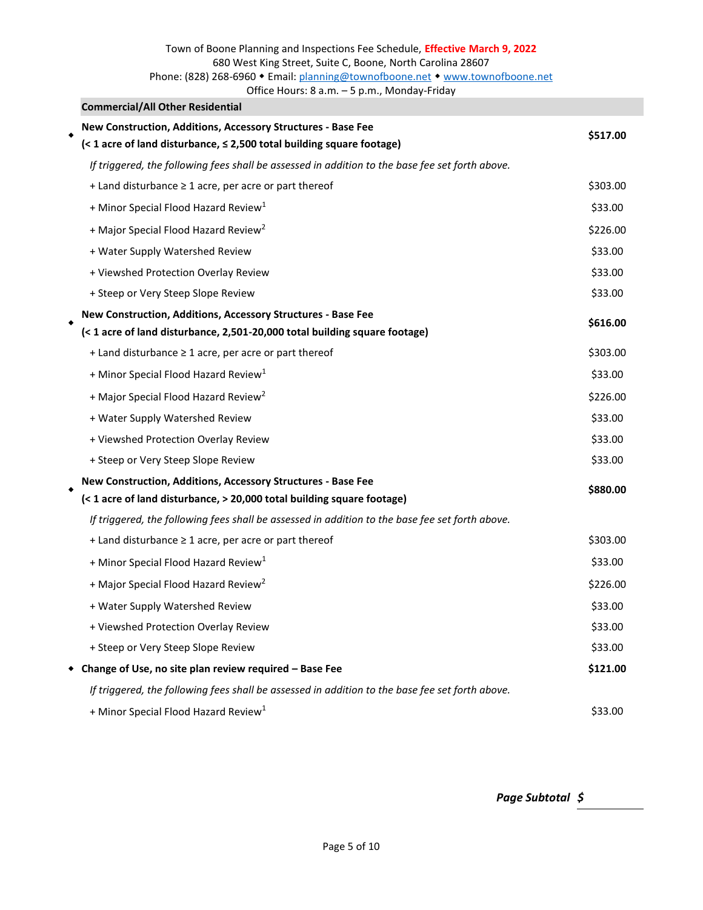## Town of Boone Planning and Inspections Fee Schedule, **Effective March 9, 2022** 680 West King Street, Suite C, Boone, North Carolina 28607 Phone: (828) 268-6960 • Email[: planning@townofboone.net](mailto:planning@townofboone.net) • [www.townofboone.net](http://www.townofboone.net/)

Office Hours: 8 a.m. – 5 p.m., Monday-Friday

<span id="page-4-0"></span>

| <b>Commercial/All Other Residential</b>                                                         |          |
|-------------------------------------------------------------------------------------------------|----------|
| New Construction, Additions, Accessory Structures - Base Fee                                    | \$517.00 |
| (< 1 acre of land disturbance, $\leq$ 2,500 total building square footage)                      |          |
| If triggered, the following fees shall be assessed in addition to the base fee set forth above. |          |
| + Land disturbance $\geq 1$ acre, per acre or part thereof                                      | \$303.00 |
| + Minor Special Flood Hazard Review <sup>1</sup>                                                | \$33.00  |
| + Major Special Flood Hazard Review <sup>2</sup>                                                | \$226.00 |
| + Water Supply Watershed Review                                                                 | \$33.00  |
| + Viewshed Protection Overlay Review                                                            | \$33.00  |
| + Steep or Very Steep Slope Review                                                              | \$33.00  |
| New Construction, Additions, Accessory Structures - Base Fee                                    | \$616.00 |
| (< 1 acre of land disturbance, 2,501-20,000 total building square footage)                      |          |
| + Land disturbance $\geq 1$ acre, per acre or part thereof                                      | \$303.00 |
| + Minor Special Flood Hazard Review <sup>1</sup>                                                | \$33.00  |
| + Major Special Flood Hazard Review <sup>2</sup>                                                | \$226.00 |
| + Water Supply Watershed Review                                                                 | \$33.00  |
| + Viewshed Protection Overlay Review                                                            | \$33.00  |
| + Steep or Very Steep Slope Review                                                              | \$33.00  |
| New Construction, Additions, Accessory Structures - Base Fee                                    | \$880.00 |
| (< 1 acre of land disturbance, > 20,000 total building square footage)                          |          |
| If triggered, the following fees shall be assessed in addition to the base fee set forth above. |          |
| + Land disturbance $\geq 1$ acre, per acre or part thereof                                      | \$303.00 |
| + Minor Special Flood Hazard Review <sup>1</sup>                                                | \$33.00  |
| + Major Special Flood Hazard Review <sup>2</sup>                                                | \$226.00 |
| + Water Supply Watershed Review                                                                 | \$33.00  |
| + Viewshed Protection Overlay Review                                                            | \$33.00  |
| + Steep or Very Steep Slope Review                                                              | \$33.00  |
| Change of Use, no site plan review required - Base Fee                                          | \$121.00 |
| If triggered, the following fees shall be assessed in addition to the base fee set forth above. |          |
| + Minor Special Flood Hazard Review <sup>1</sup>                                                | \$33.00  |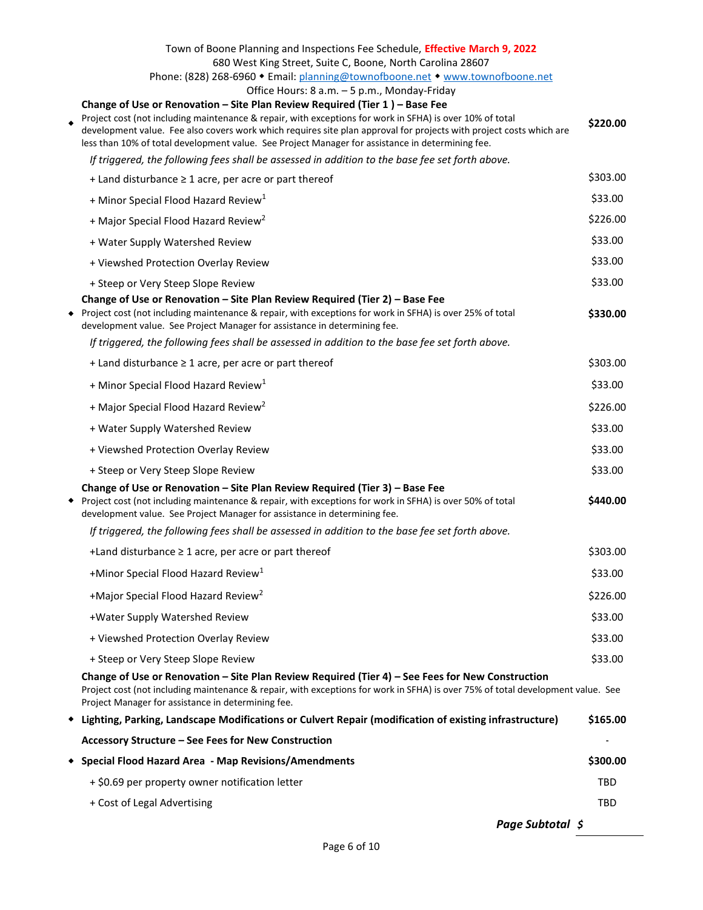| Town of Boone Planning and Inspections Fee Schedule, Effective March 9, 2022<br>680 West King Street, Suite C, Boone, North Carolina 28607<br>Phone: (828) 268-6960 • Email: planning@townofboone.net • www.townofboone.net<br>Office Hours: 8 a.m. - 5 p.m., Monday-Friday<br>Change of Use or Renovation - Site Plan Review Required (Tier 1) - Base Fee<br>Project cost (not including maintenance & repair, with exceptions for work in SFHA) is over 10% of total<br>development value. Fee also covers work which requires site plan approval for projects with project costs which are<br>less than 10% of total development value. See Project Manager for assistance in determining fee. | \$220.00 |
|---------------------------------------------------------------------------------------------------------------------------------------------------------------------------------------------------------------------------------------------------------------------------------------------------------------------------------------------------------------------------------------------------------------------------------------------------------------------------------------------------------------------------------------------------------------------------------------------------------------------------------------------------------------------------------------------------|----------|
| If triggered, the following fees shall be assessed in addition to the base fee set forth above.                                                                                                                                                                                                                                                                                                                                                                                                                                                                                                                                                                                                   |          |
| + Land disturbance ≥ 1 acre, per acre or part thereof                                                                                                                                                                                                                                                                                                                                                                                                                                                                                                                                                                                                                                             | \$303.00 |
| + Minor Special Flood Hazard Review <sup>1</sup>                                                                                                                                                                                                                                                                                                                                                                                                                                                                                                                                                                                                                                                  | \$33.00  |
| + Major Special Flood Hazard Review <sup>2</sup>                                                                                                                                                                                                                                                                                                                                                                                                                                                                                                                                                                                                                                                  | \$226.00 |
| + Water Supply Watershed Review                                                                                                                                                                                                                                                                                                                                                                                                                                                                                                                                                                                                                                                                   | \$33.00  |
| + Viewshed Protection Overlay Review                                                                                                                                                                                                                                                                                                                                                                                                                                                                                                                                                                                                                                                              | \$33.00  |
| + Steep or Very Steep Slope Review                                                                                                                                                                                                                                                                                                                                                                                                                                                                                                                                                                                                                                                                | \$33.00  |
| Change of Use or Renovation - Site Plan Review Required (Tier 2) - Base Fee<br>◆ Project cost (not including maintenance & repair, with exceptions for work in SFHA) is over 25% of total<br>development value. See Project Manager for assistance in determining fee.                                                                                                                                                                                                                                                                                                                                                                                                                            | \$330.00 |
| If triggered, the following fees shall be assessed in addition to the base fee set forth above.                                                                                                                                                                                                                                                                                                                                                                                                                                                                                                                                                                                                   |          |
| + Land disturbance $\geq 1$ acre, per acre or part thereof                                                                                                                                                                                                                                                                                                                                                                                                                                                                                                                                                                                                                                        | \$303.00 |
| + Minor Special Flood Hazard Review <sup>1</sup>                                                                                                                                                                                                                                                                                                                                                                                                                                                                                                                                                                                                                                                  | \$33.00  |
| + Major Special Flood Hazard Review <sup>2</sup>                                                                                                                                                                                                                                                                                                                                                                                                                                                                                                                                                                                                                                                  | \$226.00 |
| + Water Supply Watershed Review                                                                                                                                                                                                                                                                                                                                                                                                                                                                                                                                                                                                                                                                   | \$33.00  |
| + Viewshed Protection Overlay Review                                                                                                                                                                                                                                                                                                                                                                                                                                                                                                                                                                                                                                                              | \$33.00  |
| + Steep or Very Steep Slope Review                                                                                                                                                                                                                                                                                                                                                                                                                                                                                                                                                                                                                                                                | \$33.00  |
| Change of Use or Renovation - Site Plan Review Required (Tier 3) - Base Fee<br>◆ Project cost (not including maintenance & repair, with exceptions for work in SFHA) is over 50% of total<br>development value. See Project Manager for assistance in determining fee.                                                                                                                                                                                                                                                                                                                                                                                                                            | \$440.00 |
| If triggered, the following fees shall be assessed in addition to the base fee set forth above.                                                                                                                                                                                                                                                                                                                                                                                                                                                                                                                                                                                                   |          |
| +Land disturbance $\geq 1$ acre, per acre or part thereof                                                                                                                                                                                                                                                                                                                                                                                                                                                                                                                                                                                                                                         | \$303.00 |
| +Minor Special Flood Hazard Review <sup>1</sup>                                                                                                                                                                                                                                                                                                                                                                                                                                                                                                                                                                                                                                                   | \$33.00  |
| +Major Special Flood Hazard Review <sup>2</sup>                                                                                                                                                                                                                                                                                                                                                                                                                                                                                                                                                                                                                                                   | \$226.00 |
| +Water Supply Watershed Review                                                                                                                                                                                                                                                                                                                                                                                                                                                                                                                                                                                                                                                                    | \$33.00  |
| + Viewshed Protection Overlay Review                                                                                                                                                                                                                                                                                                                                                                                                                                                                                                                                                                                                                                                              | \$33.00  |
| + Steep or Very Steep Slope Review                                                                                                                                                                                                                                                                                                                                                                                                                                                                                                                                                                                                                                                                | \$33.00  |
| Change of Use or Renovation - Site Plan Review Required (Tier 4) - See Fees for New Construction<br>Project cost (not including maintenance & repair, with exceptions for work in SFHA) is over 75% of total development value. See<br>Project Manager for assistance in determining fee.                                                                                                                                                                                                                                                                                                                                                                                                         |          |
| • Lighting, Parking, Landscape Modifications or Culvert Repair (modification of existing infrastructure)                                                                                                                                                                                                                                                                                                                                                                                                                                                                                                                                                                                          | \$165.00 |
| Accessory Structure - See Fees for New Construction                                                                                                                                                                                                                                                                                                                                                                                                                                                                                                                                                                                                                                               |          |
| <b>Special Flood Hazard Area - Map Revisions/Amendments</b>                                                                                                                                                                                                                                                                                                                                                                                                                                                                                                                                                                                                                                       | \$300.00 |
| + \$0.69 per property owner notification letter                                                                                                                                                                                                                                                                                                                                                                                                                                                                                                                                                                                                                                                   | TBD      |
| + Cost of Legal Advertising                                                                                                                                                                                                                                                                                                                                                                                                                                                                                                                                                                                                                                                                       | TBD      |
| Page Subtotal \$                                                                                                                                                                                                                                                                                                                                                                                                                                                                                                                                                                                                                                                                                  |          |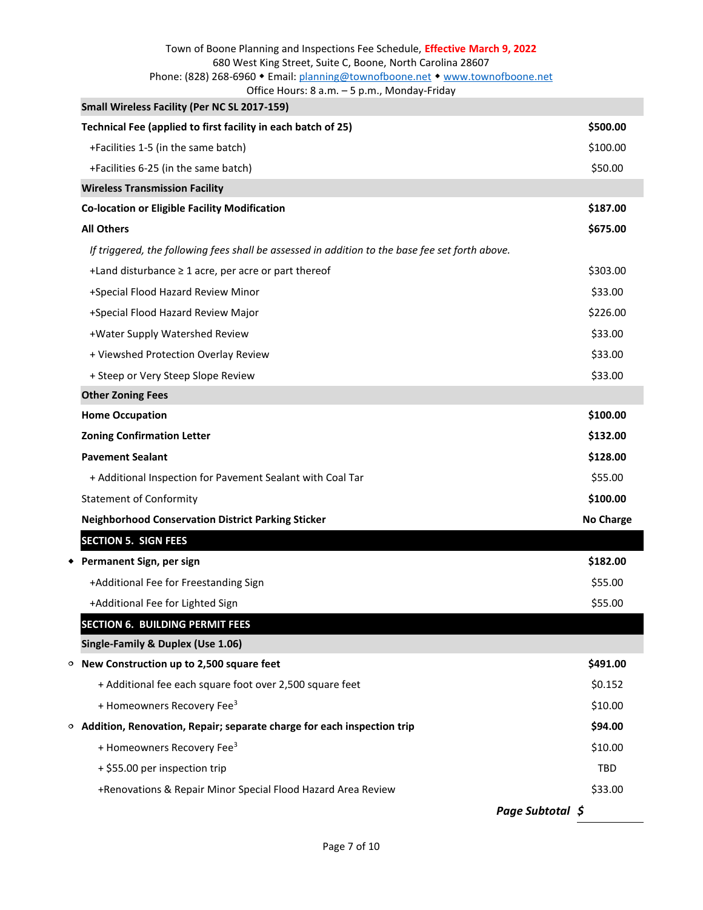# Town of Boone Planning and Inspections Fee Schedule, **Effective March 9, 2022** 680 West King Street, Suite C, Boone, North Carolina 28607 Phone: (828) 268-6960 • Email[: planning@townofboone.net](mailto:planning@townofboone.net) • [www.townofboone.net](http://www.townofboone.net/)

<span id="page-6-6"></span>

| Office Hours: 8 a.m. - 5 p.m., Monday-Friday |  |  |
|----------------------------------------------|--|--|
|                                              |  |  |

<span id="page-6-5"></span><span id="page-6-4"></span><span id="page-6-3"></span><span id="page-6-2"></span><span id="page-6-1"></span><span id="page-6-0"></span>

| Small Wireless Facility (Per NC SL 2017-159)                                                    |                  |
|-------------------------------------------------------------------------------------------------|------------------|
| Technical Fee (applied to first facility in each batch of 25)                                   | \$500.00         |
| +Facilities 1-5 (in the same batch)                                                             | \$100.00         |
| +Facilities 6-25 (in the same batch)                                                            | \$50.00          |
| <b>Wireless Transmission Facility</b>                                                           |                  |
| <b>Co-location or Eligible Facility Modification</b>                                            | \$187.00         |
| <b>All Others</b>                                                                               | \$675.00         |
| If triggered, the following fees shall be assessed in addition to the base fee set forth above. |                  |
| +Land disturbance $\geq 1$ acre, per acre or part thereof                                       | \$303.00         |
| +Special Flood Hazard Review Minor                                                              | \$33.00          |
| +Special Flood Hazard Review Major                                                              | \$226.00         |
| +Water Supply Watershed Review                                                                  | \$33.00          |
| + Viewshed Protection Overlay Review                                                            | \$33.00          |
| + Steep or Very Steep Slope Review                                                              | \$33.00          |
| <b>Other Zoning Fees</b>                                                                        |                  |
| <b>Home Occupation</b>                                                                          | \$100.00         |
| <b>Zoning Confirmation Letter</b>                                                               | \$132.00         |
| <b>Pavement Sealant</b>                                                                         | \$128.00         |
| + Additional Inspection for Pavement Sealant with Coal Tar                                      | \$55.00          |
| <b>Statement of Conformity</b>                                                                  | \$100.00         |
| <b>Neighborhood Conservation District Parking Sticker</b>                                       | <b>No Charge</b> |
| <b>SECTION 5. SIGN FEES</b>                                                                     |                  |
| ◆ Permanent Sign, per sign                                                                      | \$182.00         |
| +Additional Fee for Freestanding Sign                                                           | \$55.00          |
| +Additional Fee for Lighted Sign                                                                | \$55.00          |
| <b>SECTION 6. BUILDING PERMIT FEES</b>                                                          |                  |
| Single-Family & Duplex (Use 1.06)                                                               |                  |
| $\circ$ New Construction up to 2,500 square feet                                                | \$491.00         |
| + Additional fee each square foot over 2,500 square feet                                        | \$0.152          |
| + Homeowners Recovery Fee <sup>3</sup>                                                          | \$10.00          |
| $\circ$ Addition, Renovation, Repair; separate charge for each inspection trip                  | \$94.00          |
| + Homeowners Recovery Fee <sup>3</sup>                                                          | \$10.00          |
| + \$55.00 per inspection trip                                                                   | TBD              |
| +Renovations & Repair Minor Special Flood Hazard Area Review                                    | \$33.00          |
|                                                                                                 |                  |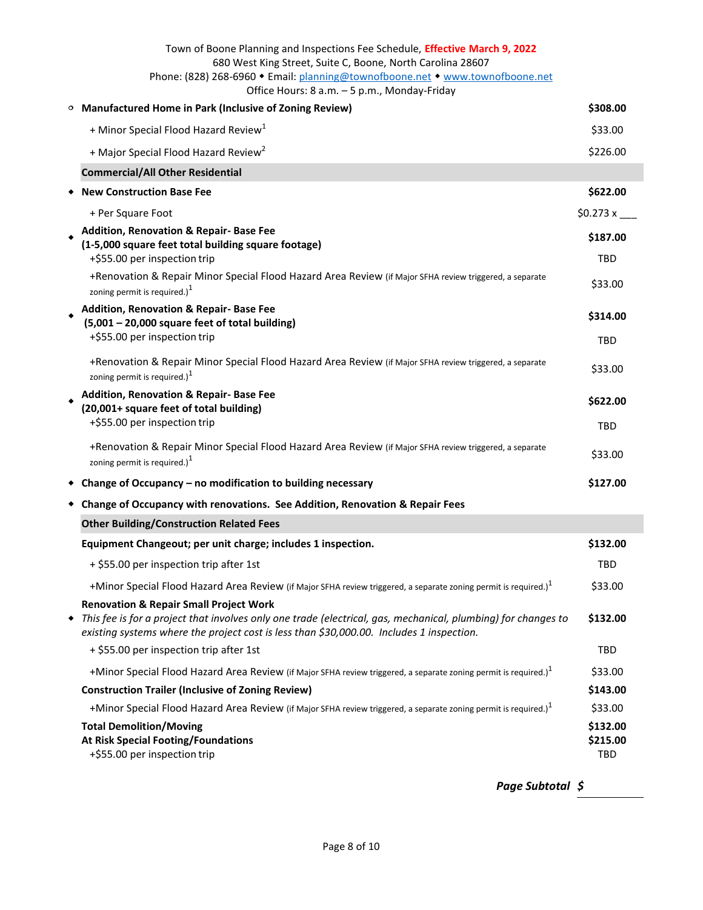<span id="page-7-1"></span><span id="page-7-0"></span>

|         | Town of Boone Planning and Inspections Fee Schedule, Effective March 9, 2022<br>680 West King Street, Suite C, Boone, North Carolina 28607                                                                |                             |
|---------|-----------------------------------------------------------------------------------------------------------------------------------------------------------------------------------------------------------|-----------------------------|
|         | Phone: (828) 268-6960 • Email: planning@townofboone.net • www.townofboone.net<br>Office Hours: 8 a.m. - 5 p.m., Monday-Friday                                                                             |                             |
| $\circ$ | <b>Manufactured Home in Park (Inclusive of Zoning Review)</b>                                                                                                                                             | \$308.00                    |
|         | + Minor Special Flood Hazard Review <sup>1</sup>                                                                                                                                                          | \$33.00                     |
|         | + Major Special Flood Hazard Review <sup>2</sup>                                                                                                                                                          | \$226.00                    |
|         | <b>Commercial/All Other Residential</b>                                                                                                                                                                   |                             |
|         | <b>New Construction Base Fee</b>                                                                                                                                                                          | \$622.00                    |
|         | + Per Square Foot                                                                                                                                                                                         | \$0.273 x                   |
|         | <b>Addition, Renovation &amp; Repair- Base Fee</b><br>(1-5,000 square feet total building square footage)<br>+\$55.00 per inspection trip                                                                 | \$187.00<br>TBD             |
|         | +Renovation & Repair Minor Special Flood Hazard Area Review (if Major SFHA review triggered, a separate<br>zoning permit is required.) $1$                                                                | \$33.00                     |
|         | Addition, Renovation & Repair- Base Fee<br>(5,001 - 20,000 square feet of total building)<br>+\$55.00 per inspection trip                                                                                 | \$314.00                    |
|         |                                                                                                                                                                                                           | TBD                         |
|         | +Renovation & Repair Minor Special Flood Hazard Area Review (if Major SFHA review triggered, a separate<br>zoning permit is required.) $1$                                                                | \$33.00                     |
|         | Addition, Renovation & Repair- Base Fee<br>(20,001+ square feet of total building)<br>+\$55.00 per inspection trip                                                                                        | \$622.00                    |
|         |                                                                                                                                                                                                           | TBD                         |
|         | +Renovation & Repair Minor Special Flood Hazard Area Review (if Major SFHA review triggered, a separate<br>zoning permit is required.) <sup>1</sup>                                                       | \$33.00                     |
|         | • Change of Occupancy – no modification to building necessary                                                                                                                                             | \$127.00                    |
|         | Change of Occupancy with renovations. See Addition, Renovation & Repair Fees                                                                                                                              |                             |
|         | <b>Other Building/Construction Related Fees</b>                                                                                                                                                           |                             |
|         | Equipment Changeout; per unit charge; includes 1 inspection.                                                                                                                                              | \$132.00                    |
|         | + \$55.00 per inspection trip after 1st                                                                                                                                                                   | <b>TBD</b>                  |
|         | +Minor Special Flood Hazard Area Review (if Major SFHA review triggered, a separate zoning permit is required.) <sup>1</sup>                                                                              | \$33.00                     |
|         | <b>Renovation &amp; Repair Small Project Work</b>                                                                                                                                                         |                             |
|         | This fee is for a project that involves only one trade (electrical, gas, mechanical, plumbing) for changes to<br>existing systems where the project cost is less than \$30,000.00. Includes 1 inspection. | \$132.00                    |
|         | + \$55.00 per inspection trip after 1st                                                                                                                                                                   | TBD                         |
|         | +Minor Special Flood Hazard Area Review (if Major SFHA review triggered, a separate zoning permit is required.) <sup>1</sup>                                                                              | \$33.00                     |
|         | <b>Construction Trailer (Inclusive of Zoning Review)</b>                                                                                                                                                  | \$143.00                    |
|         | +Minor Special Flood Hazard Area Review (if Major SFHA review triggered, a separate zoning permit is required.) <sup>1</sup>                                                                              | \$33.00                     |
|         | <b>Total Demolition/Moving</b><br>At Risk Special Footing/Foundations<br>+\$55.00 per inspection trip                                                                                                     | \$132.00<br>\$215.00<br>TBD |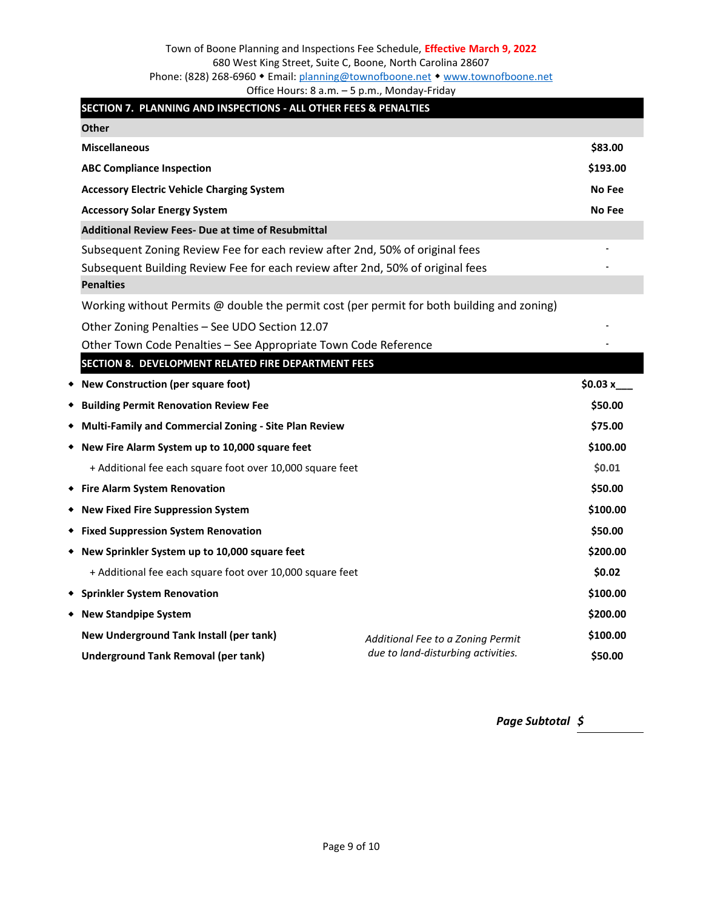<span id="page-8-4"></span><span id="page-8-3"></span><span id="page-8-2"></span><span id="page-8-1"></span><span id="page-8-0"></span>

| SECTION 7. PLANNING AND INSPECTIONS - ALL OTHER FEES & PENALTIES                                                                                                                   |                                    |               |
|------------------------------------------------------------------------------------------------------------------------------------------------------------------------------------|------------------------------------|---------------|
| <b>Other</b>                                                                                                                                                                       |                                    |               |
| <b>Miscellaneous</b>                                                                                                                                                               |                                    | \$83.00       |
| <b>ABC Compliance Inspection</b>                                                                                                                                                   |                                    | \$193.00      |
| <b>Accessory Electric Vehicle Charging System</b>                                                                                                                                  |                                    | <b>No Fee</b> |
| <b>Accessory Solar Energy System</b>                                                                                                                                               |                                    | No Fee        |
| <b>Additional Review Fees- Due at time of Resubmittal</b>                                                                                                                          |                                    |               |
| Subsequent Zoning Review Fee for each review after 2nd, 50% of original fees<br>Subsequent Building Review Fee for each review after 2nd, 50% of original fees<br><b>Penalties</b> |                                    |               |
| Working without Permits @ double the permit cost (per permit for both building and zoning)                                                                                         |                                    |               |
| Other Zoning Penalties - See UDO Section 12.07                                                                                                                                     |                                    |               |
| Other Town Code Penalties - See Appropriate Town Code Reference                                                                                                                    |                                    |               |
| SECTION 8. DEVELOPMENT RELATED FIRE DEPARTMENT FEES                                                                                                                                |                                    |               |
| * New Construction (per square foot)                                                                                                                                               |                                    | \$0.03 $x$    |
| <b>*</b> Building Permit Renovation Review Fee                                                                                                                                     |                                    | \$50.00       |
| ◆ Multi-Family and Commercial Zoning - Site Plan Review                                                                                                                            |                                    | \$75.00       |
| ◆ New Fire Alarm System up to 10,000 square feet                                                                                                                                   |                                    | \$100.00      |
| + Additional fee each square foot over 10,000 square feet                                                                                                                          |                                    | \$0.01        |
| ◆ Fire Alarm System Renovation                                                                                                                                                     |                                    | \$50.00       |
| * New Fixed Fire Suppression System                                                                                                                                                |                                    | \$100.00      |
| ◆ Fixed Suppression System Renovation                                                                                                                                              |                                    | \$50.00       |
| ◆ New Sprinkler System up to 10,000 square feet                                                                                                                                    |                                    | \$200.00      |
| + Additional fee each square foot over 10,000 square feet                                                                                                                          |                                    | \$0.02        |
| ◆ Sprinkler System Renovation                                                                                                                                                      |                                    | \$100.00      |
| ◆ New Standpipe System                                                                                                                                                             |                                    | \$200.00      |
| New Underground Tank Install (per tank)                                                                                                                                            | Additional Fee to a Zoning Permit  | \$100.00      |
| <b>Underground Tank Removal (per tank)</b>                                                                                                                                         | due to land-disturbing activities. | \$50.00       |